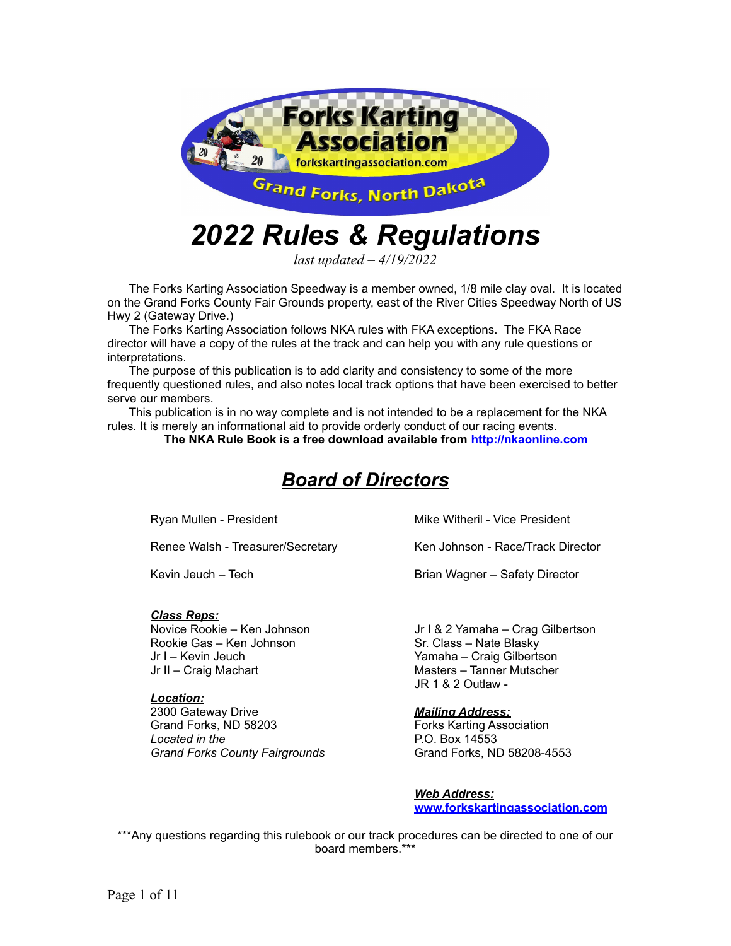

# *2022 Rules & Regulations*

*last updated – 4/19/2022*

The Forks Karting Association Speedway is a member owned, 1/8 mile clay oval. It is located on the Grand Forks County Fair Grounds property, east of the River Cities Speedway North of US Hwy 2 (Gateway Drive.)

The Forks Karting Association follows NKA rules with FKA exceptions. The FKA Race director will have a copy of the rules at the track and can help you with any rule questions or interpretations.

The purpose of this publication is to add clarity and consistency to some of the more frequently questioned rules, and also notes local track options that have been exercised to better serve our members.

This publication is in no way complete and is not intended to be a replacement for the NKA rules. It is merely an informational aid to provide orderly conduct of our racing events.

**The NKA Rule Book is a free download available from <http://nkaonline.com>**

# *Board of Directors*

Ryan Mullen - President

Renee Walsh - Treasurer/Secretary

Kevin Jeuch – Tech

#### *Class Reps:*

Novice Rookie – Ken Johnson Rookie Gas – Ken Johnson Jr I – Kevin Jeuch Jr II – Craig Machart

#### *Location:*

2300 Gateway Drive Grand Forks, ND 58203 *Located in the Grand Forks County Fairgrounds* Mike Witheril - Vice President

Ken Johnson - Race/Track Director

Brian Wagner – Safety Director

Jr I & 2 Yamaha – Crag Gilbertson Sr. Class – Nate Blasky Yamaha – Craig Gilbertson Masters – Tanner Mutscher JR 1 & 2 Outlaw -

#### *Mailing Address:*

Forks Karting Association P.O. Box 14553 Grand Forks, ND 58208-4553

*Web Address:* **[www.forkskartingassociation.com](http://www.forkskartingassociation.com)**

\*\*\*Any questions regarding this rulebook or our track procedures can be directed to one of our board members.\*\*\*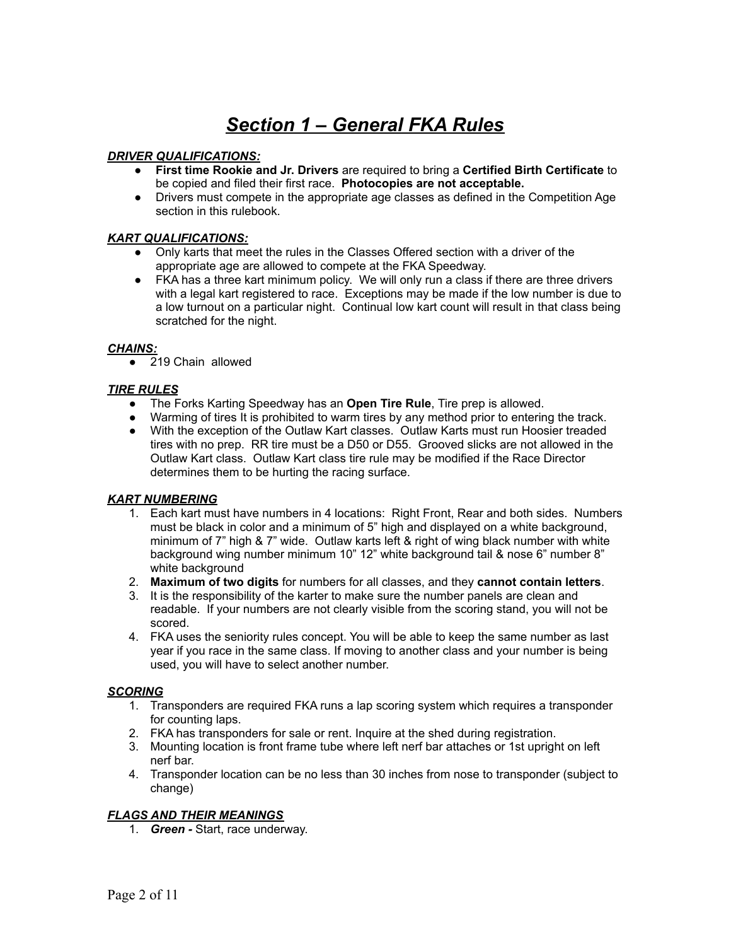# *Section 1 – General FKA Rules*

#### *DRIVER QUALIFICATIONS:*

- **First time Rookie and Jr. Drivers** are required to bring a **Certified Birth Certificate** to be copied and filed their first race. **Photocopies are not acceptable.**
- Drivers must compete in the appropriate age classes as defined in the Competition Age section in this rulebook.

#### *KART QUALIFICATIONS:*

- Only karts that meet the rules in the Classes Offered section with a driver of the appropriate age are allowed to compete at the FKA Speedway.
- FKA has a three kart minimum policy. We will only run a class if there are three drivers with a legal kart registered to race. Exceptions may be made if the low number is due to a low turnout on a particular night. Continual low kart count will result in that class being scratched for the night.

#### *CHAINS:*

● 219 Chain allowed

#### *TIRE RULES*

- The Forks Karting Speedway has an **Open Tire Rule**, Tire prep is allowed.
- Warming of tires It is prohibited to warm tires by any method prior to entering the track.
- With the exception of the Outlaw Kart classes. Outlaw Karts must run Hoosier treaded tires with no prep. RR tire must be a D50 or D55. Grooved slicks are not allowed in the Outlaw Kart class. Outlaw Kart class tire rule may be modified if the Race Director determines them to be hurting the racing surface.

#### *KART NUMBERING*

- 1. Each kart must have numbers in 4 locations: Right Front, Rear and both sides. Numbers must be black in color and a minimum of 5" high and displayed on a white background, minimum of 7" high & 7" wide. Outlaw karts left & right of wing black number with white background wing number minimum 10" 12" white background tail & nose 6" number 8" white background
- 2. **Maximum of two digits** for numbers for all classes, and they **cannot contain letters**.
- 3. It is the responsibility of the karter to make sure the number panels are clean and readable. If your numbers are not clearly visible from the scoring stand, you will not be scored.
- 4. FKA uses the seniority rules concept. You will be able to keep the same number as last year if you race in the same class. If moving to another class and your number is being used, you will have to select another number.

#### *SCORING*

- 1. Transponders are required FKA runs a lap scoring system which requires a transponder for counting laps.
- 2. FKA has transponders for sale or rent. Inquire at the shed during registration.
- 3. Mounting location is front frame tube where left nerf bar attaches or 1st upright on left nerf bar.
- 4. Transponder location can be no less than 30 inches from nose to transponder (subject to change)

#### *FLAGS AND THEIR MEANINGS*

1. *Green -* Start, race underway.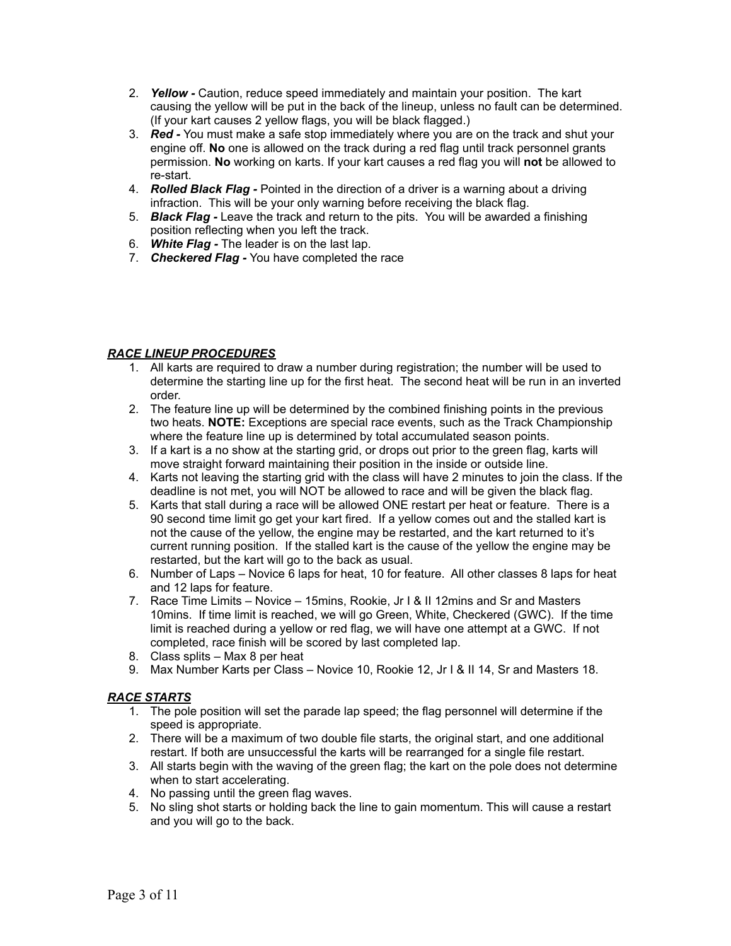- 2. *Yellow -* Caution, reduce speed immediately and maintain your position. The kart causing the yellow will be put in the back of the lineup, unless no fault can be determined. (If your kart causes 2 yellow flags, you will be black flagged.)
- 3. *Red -* You must make a safe stop immediately where you are on the track and shut your engine off. **No** one is allowed on the track during a red flag until track personnel grants permission. **No** working on karts. If your kart causes a red flag you will **not** be allowed to re-start.
- 4. *Rolled Black Flag -* Pointed in the direction of a driver is a warning about a driving infraction. This will be your only warning before receiving the black flag.
- 5. *Black Flag -* Leave the track and return to the pits. You will be awarded a finishing position reflecting when you left the track.
- 6. *White Flag -* The leader is on the last lap.
- 7. *Checkered Flag -* You have completed the race

### *RACE LINEUP PROCEDURES*

- 1. All karts are required to draw a number during registration; the number will be used to determine the starting line up for the first heat. The second heat will be run in an inverted order.
- 2. The feature line up will be determined by the combined finishing points in the previous two heats. **NOTE:** Exceptions are special race events, such as the Track Championship where the feature line up is determined by total accumulated season points.
- 3. If a kart is a no show at the starting grid, or drops out prior to the green flag, karts will move straight forward maintaining their position in the inside or outside line.
- 4. Karts not leaving the starting grid with the class will have 2 minutes to join the class. If the deadline is not met, you will NOT be allowed to race and will be given the black flag.
- 5. Karts that stall during a race will be allowed ONE restart per heat or feature. There is a 90 second time limit go get your kart fired. If a yellow comes out and the stalled kart is not the cause of the yellow, the engine may be restarted, and the kart returned to it's current running position. If the stalled kart is the cause of the yellow the engine may be restarted, but the kart will go to the back as usual.
- 6. Number of Laps Novice 6 laps for heat, 10 for feature. All other classes 8 laps for heat and 12 laps for feature.
- 7. Race Time Limits Novice 15mins, Rookie, Jr I & II 12mins and Sr and Masters 10mins. If time limit is reached, we will go Green, White, Checkered (GWC). If the time limit is reached during a yellow or red flag, we will have one attempt at a GWC. If not completed, race finish will be scored by last completed lap.
- 8. Class splits Max 8 per heat
- 9. Max Number Karts per Class Novice 10, Rookie 12, Jr I & II 14, Sr and Masters 18.

#### *RACE STARTS*

- 1. The pole position will set the parade lap speed; the flag personnel will determine if the speed is appropriate.
- 2. There will be a maximum of two double file starts, the original start, and one additional restart. If both are unsuccessful the karts will be rearranged for a single file restart.
- 3. All starts begin with the waving of the green flag; the kart on the pole does not determine when to start accelerating.
- 4. No passing until the green flag waves.
- 5. No sling shot starts or holding back the line to gain momentum. This will cause a restart and you will go to the back.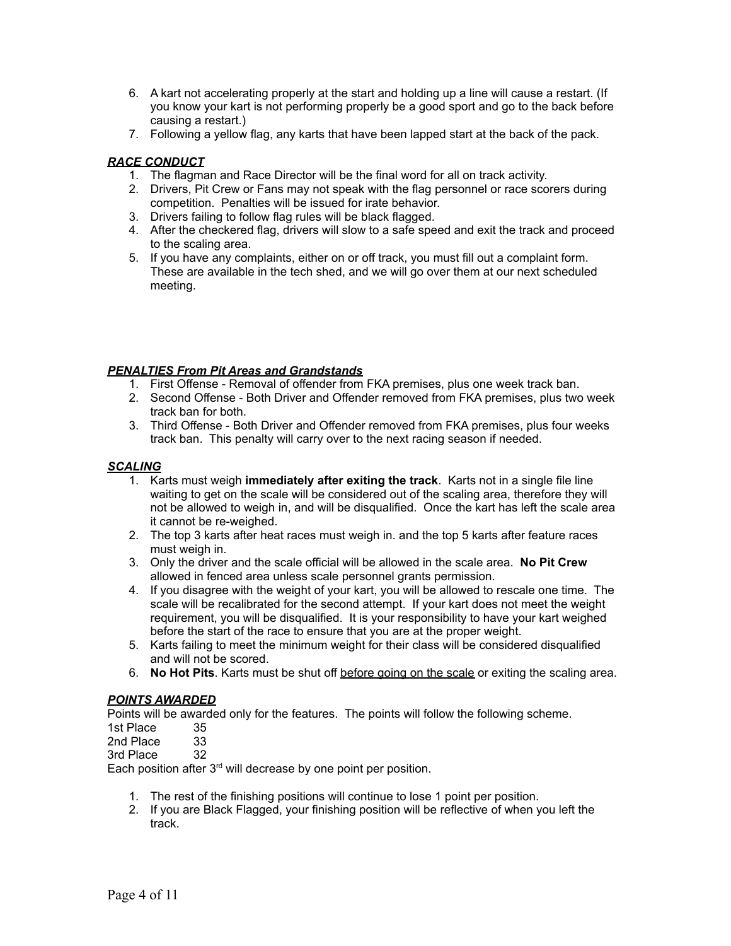- 6. A kart not accelerating properly at the start and holding up a line will cause a restart. (If you know your kart is not performing properly be a good sport and go to the back before causing a restart.)
- 7. Following a yellow flag, any karts that have been lapped start at the back of the pack.

# *RACE CONDUCT*

- 1. The flagman and Race Director will be the final word for all on track activity.
- 2. Drivers, Pit Crew or Fans may not speak with the flag personnel or race scorers during competition. Penalties will be issued for irate behavior.
- 3. Drivers failing to follow flag rules will be black flagged.
- 4. After the checkered flag, drivers will slow to a safe speed and exit the track and proceed to the scaling area.
- 5. If you have any complaints, either on or off track, you must fill out a complaint form. These are available in the tech shed, and we will go over them at our next scheduled meeting.

# *PENALTIES From Pit Areas and Grandstands*

- 1. First Offense Removal of offender from FKA premises, plus one week track ban.
- 2. Second Offense Both Driver and Offender removed from FKA premises, plus two week track ban for both.
- 3. Third Offense Both Driver and Offender removed from FKA premises, plus four weeks track ban. This penalty will carry over to the next racing season if needed.

# *SCALING*

- 1. Karts must weigh **immediately after exiting the track**. Karts not in a single file line waiting to get on the scale will be considered out of the scaling area, therefore they will not be allowed to weigh in, and will be disqualified. Once the kart has left the scale area it cannot be re-weighed.
- 2. The top 3 karts after heat races must weigh in. and the top 5 karts after feature races must weigh in.
- 3. Only the driver and the scale official will be allowed in the scale area. **No Pit Crew** allowed in fenced area unless scale personnel grants permission.
- 4. If you disagree with the weight of your kart, you will be allowed to rescale one time. The scale will be recalibrated for the second attempt. If your kart does not meet the weight requirement, you will be disqualified. It is your responsibility to have your kart weighed before the start of the race to ensure that you are at the proper weight.
- 5. Karts failing to meet the minimum weight for their class will be considered disqualified and will not be scored.
- 6. **No Hot Pits**. Karts must be shut off before going on the scale or exiting the scaling area.

#### *POINTS AWARDED*

Points will be awarded only for the features. The points will follow the following scheme.

- 1st Place 35
- 2nd Place 33

3rd Place 32

Each position after  $3<sup>rd</sup>$  will decrease by one point per position.

- 1. The rest of the finishing positions will continue to lose 1 point per position.
- 2. If you are Black Flagged, your finishing position will be reflective of when you left the track.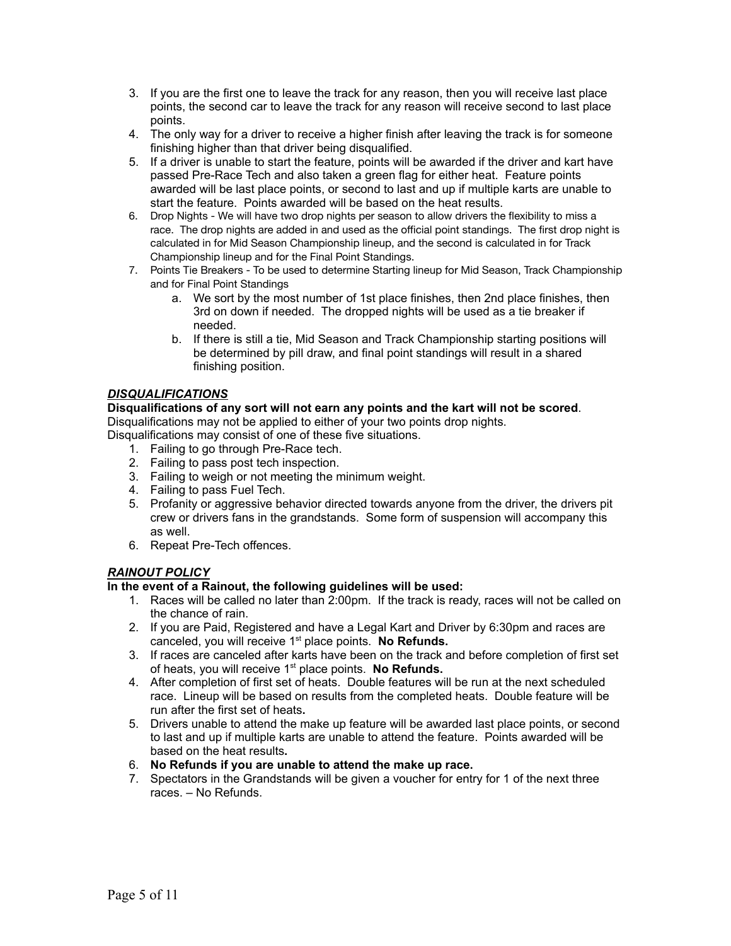- 3. If you are the first one to leave the track for any reason, then you will receive last place points, the second car to leave the track for any reason will receive second to last place points.
- 4. The only way for a driver to receive a higher finish after leaving the track is for someone finishing higher than that driver being disqualified.
- 5. If a driver is unable to start the feature, points will be awarded if the driver and kart have passed Pre-Race Tech and also taken a green flag for either heat. Feature points awarded will be last place points, or second to last and up if multiple karts are unable to start the feature. Points awarded will be based on the heat results.
- 6. Drop Nights We will have two drop nights per season to allow drivers the flexibility to miss a race. The drop nights are added in and used as the official point standings. The first drop night is calculated in for Mid Season Championship lineup, and the second is calculated in for Track Championship lineup and for the Final Point Standings.
- 7. Points Tie Breakers To be used to determine Starting lineup for Mid Season, Track Championship and for Final Point Standings
	- a. We sort by the most number of 1st place finishes, then 2nd place finishes, then 3rd on down if needed. The dropped nights will be used as a tie breaker if needed.
	- b. If there is still a tie, Mid Season and Track Championship starting positions will be determined by pill draw, and final point standings will result in a shared finishing position.

### *DISQUALIFICATIONS*

**Disqualifications of any sort will not earn any points and the kart will not be scored**. Disqualifications may not be applied to either of your two points drop nights.

Disqualifications may consist of one of these five situations.

- 1. Failing to go through Pre-Race tech.
- 2. Failing to pass post tech inspection.
- 3. Failing to weigh or not meeting the minimum weight.
- 4. Failing to pass Fuel Tech.
- 5. Profanity or aggressive behavior directed towards anyone from the driver, the drivers pit crew or drivers fans in the grandstands. Some form of suspension will accompany this as well.
- 6. Repeat Pre-Tech offences.

#### *RAINOUT POLICY*

**In the event of a Rainout, the following guidelines will be used:**

- 1. Races will be called no later than 2:00pm. If the track is ready, races will not be called on the chance of rain.
- 2. If you are Paid, Registered and have a Legal Kart and Driver by 6:30pm and races are canceled, you will receive 1<sup>st</sup> place points. No Refunds.
- 3. If races are canceled after karts have been on the track and before completion of first set of heats, you will receive 1<sup>st</sup> place points. No Refunds.
- 4. After completion of first set of heats. Double features will be run at the next scheduled race. Lineup will be based on results from the completed heats. Double feature will be run after the first set of heats**.**
- 5. Drivers unable to attend the make up feature will be awarded last place points, or second to last and up if multiple karts are unable to attend the feature. Points awarded will be based on the heat results**.**
- 6. **No Refunds if you are unable to attend the make up race.**
- 7. Spectators in the Grandstands will be given a voucher for entry for 1 of the next three races. – No Refunds.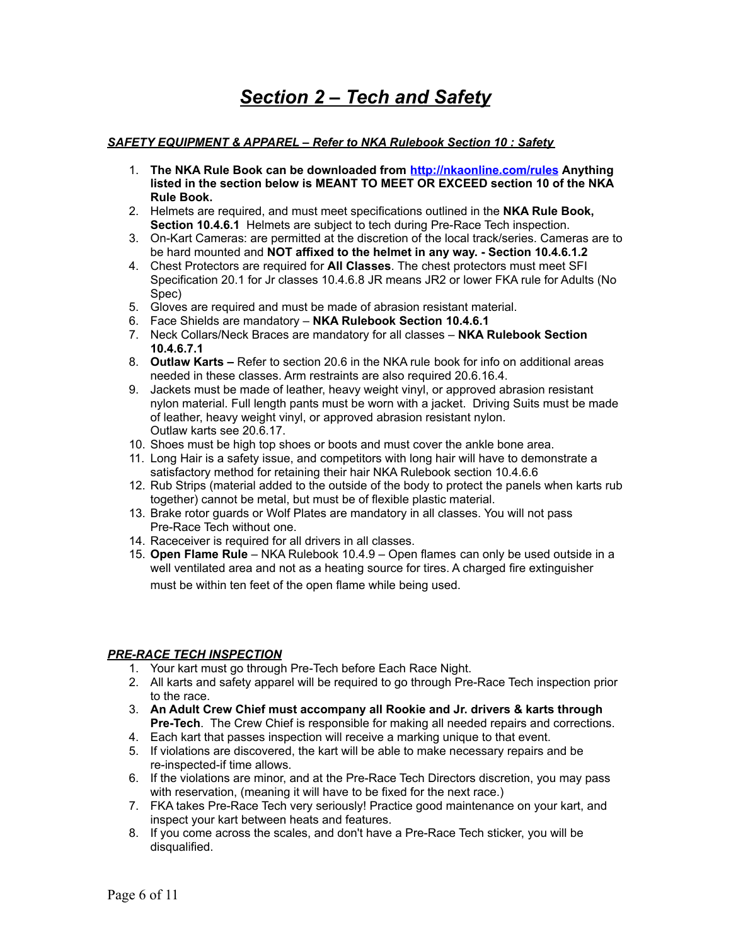# *Section 2 – Tech and Safety*

#### *SAFETY EQUIPMENT & APPAREL – Refer to NKA Rulebook Section 10 : Safety*

- 1. **The NKA Rule Book can be downloaded from <http://nkaonline.com/rules> Anything listed in the section below is MEANT TO MEET OR EXCEED section 10 of the NKA Rule Book.**
- 2. Helmets are required, and must meet specifications outlined in the **NKA Rule Book, Section 10.4.6.1** Helmets are subject to tech during Pre-Race Tech inspection.
- 3. On-Kart Cameras: are permitted at the discretion of the local track/series. Cameras are to be hard mounted and **NOT affixed to the helmet in any way. - Section 10.4.6.1.2**
- 4. Chest Protectors are required for **All Classes**. The chest protectors must meet SFI Specification 20.1 for Jr classes 10.4.6.8 JR means JR2 or lower FKA rule for Adults (No Spec)
- 5. Gloves are required and must be made of abrasion resistant material.
- 6. Face Shields are mandatory **NKA Rulebook Section 10.4.6.1**
- 7. Neck Collars/Neck Braces are mandatory for all classes **NKA Rulebook Section 10.4.6.7.1**
- 8. **Outlaw Karts –** Refer to section 20.6 in the NKA rule book for info on additional areas needed in these classes. Arm restraints are also required 20.6.16.4.
- 9. Jackets must be made of leather, heavy weight vinyl, or approved abrasion resistant nylon material. Full length pants must be worn with a jacket. Driving Suits must be made of leather, heavy weight vinyl, or approved abrasion resistant nylon. Outlaw karts see 20.6.17.
- 10. Shoes must be high top shoes or boots and must cover the ankle bone area.
- 11. Long Hair is a safety issue, and competitors with long hair will have to demonstrate a satisfactory method for retaining their hair NKA Rulebook section 10.4.6.6
- 12. Rub Strips (material added to the outside of the body to protect the panels when karts rub together) cannot be metal, but must be of flexible plastic material.
- 13. Brake rotor guards or Wolf Plates are mandatory in all classes. You will not pass Pre-Race Tech without one.
- 14. Raceceiver is required for all drivers in all classes.
- 15. **Open Flame Rule** NKA Rulebook 10.4.9 Open flames can only be used outside in a well ventilated area and not as a heating source for tires. A charged fire extinguisher must be within ten feet of the open flame while being used.

# *PRE-RACE TECH INSPECTION*

- 1. Your kart must go through Pre-Tech before Each Race Night.
- 2. All karts and safety apparel will be required to go through Pre-Race Tech inspection prior to the race.
- 3. **An Adult Crew Chief must accompany all Rookie and Jr. drivers & karts through Pre-Tech**. The Crew Chief is responsible for making all needed repairs and corrections.
- 4. Each kart that passes inspection will receive a marking unique to that event.
- 5. If violations are discovered, the kart will be able to make necessary repairs and be re-inspected-if time allows.
- 6. If the violations are minor, and at the Pre-Race Tech Directors discretion, you may pass with reservation, (meaning it will have to be fixed for the next race.)
- 7. FKA takes Pre-Race Tech very seriously! Practice good maintenance on your kart, and inspect your kart between heats and features.
- 8. If you come across the scales, and don't have a Pre-Race Tech sticker, you will be disqualified.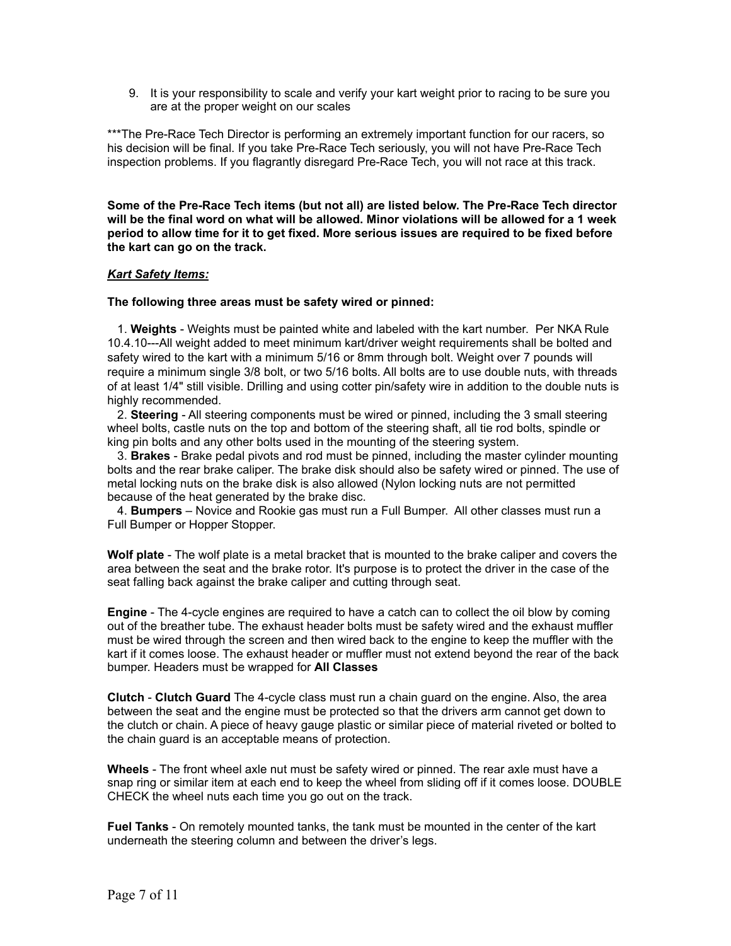9. It is your responsibility to scale and verify your kart weight prior to racing to be sure you are at the proper weight on our scales

\*\*\*The Pre-Race Tech Director is performing an extremely important function for our racers, so his decision will be final. If you take Pre-Race Tech seriously, you will not have Pre-Race Tech inspection problems. If you flagrantly disregard Pre-Race Tech, you will not race at this track.

**Some of the Pre-Race Tech items (but not all) are listed below. The Pre-Race Tech director** will be the final word on what will be allowed. Minor violations will be allowed for a 1 week **period to allow time for it to get fixed. More serious issues are required to be fixed before the kart can go on the track.**

#### *Kart Safety Items:*

#### **The following three areas must be safety wired or pinned:**

1. **Weights** - Weights must be painted white and labeled with the kart number. Per NKA Rule 10.4.10---All weight added to meet minimum kart/driver weight requirements shall be bolted and safety wired to the kart with a minimum 5/16 or 8mm through bolt. Weight over 7 pounds will require a minimum single 3/8 bolt, or two 5/16 bolts. All bolts are to use double nuts, with threads of at least 1/4" still visible. Drilling and using cotter pin/safety wire in addition to the double nuts is highly recommended.

2. **Steering** - All steering components must be wired or pinned, including the 3 small steering wheel bolts, castle nuts on the top and bottom of the steering shaft, all tie rod bolts, spindle or king pin bolts and any other bolts used in the mounting of the steering system.

3. **Brakes** - Brake pedal pivots and rod must be pinned, including the master cylinder mounting bolts and the rear brake caliper. The brake disk should also be safety wired or pinned. The use of metal locking nuts on the brake disk is also allowed (Nylon locking nuts are not permitted because of the heat generated by the brake disc.

4. **Bumpers** – Novice and Rookie gas must run a Full Bumper. All other classes must run a Full Bumper or Hopper Stopper.

**Wolf plate** - The wolf plate is a metal bracket that is mounted to the brake caliper and covers the area between the seat and the brake rotor. It's purpose is to protect the driver in the case of the seat falling back against the brake caliper and cutting through seat.

**Engine** - The 4-cycle engines are required to have a catch can to collect the oil blow by coming out of the breather tube. The exhaust header bolts must be safety wired and the exhaust muffler must be wired through the screen and then wired back to the engine to keep the muffler with the kart if it comes loose. The exhaust header or muffler must not extend beyond the rear of the back bumper. Headers must be wrapped for **All Classes**

**Clutch** - **Clutch Guard** The 4-cycle class must run a chain guard on the engine. Also, the area between the seat and the engine must be protected so that the drivers arm cannot get down to the clutch or chain. A piece of heavy gauge plastic or similar piece of material riveted or bolted to the chain guard is an acceptable means of protection.

**Wheels** - The front wheel axle nut must be safety wired or pinned. The rear axle must have a snap ring or similar item at each end to keep the wheel from sliding off if it comes loose. DOUBLE CHECK the wheel nuts each time you go out on the track.

**Fuel Tanks** - On remotely mounted tanks, the tank must be mounted in the center of the kart underneath the steering column and between the driver's legs.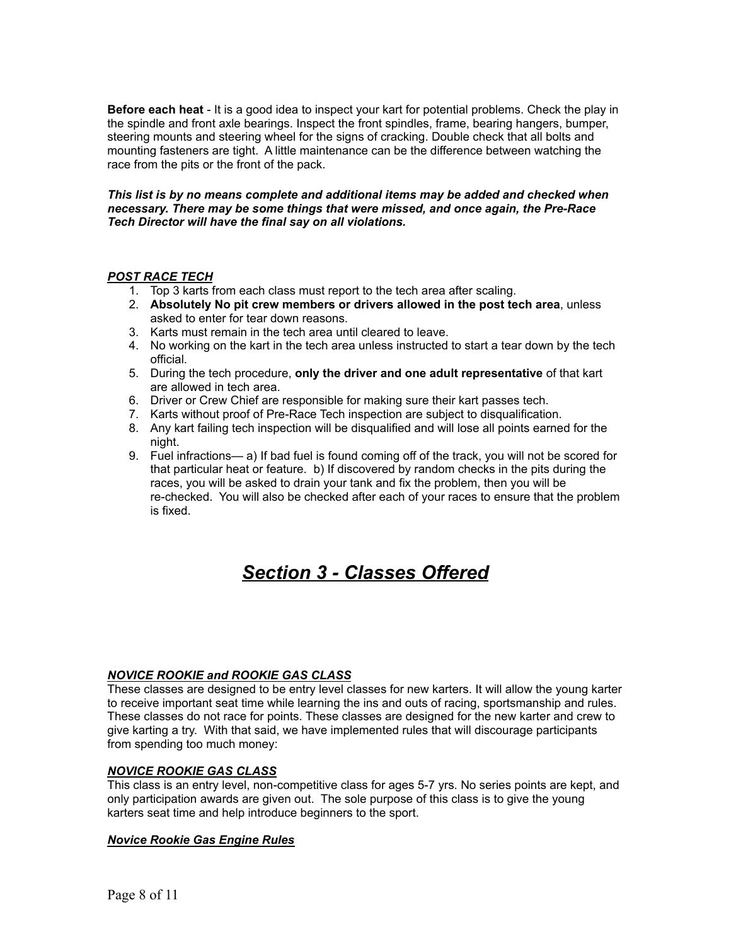**Before each heat** - It is a good idea to inspect your kart for potential problems. Check the play in the spindle and front axle bearings. Inspect the front spindles, frame, bearing hangers, bumper, steering mounts and steering wheel for the signs of cracking. Double check that all bolts and mounting fasteners are tight. A little maintenance can be the difference between watching the race from the pits or the front of the pack.

#### *This list is by no means complete and additional items may be added and checked when necessary. There may be some things that were missed, and once again, the Pre-Race Tech Director will have the final say on all violations.*

#### *POST RACE TECH*

- 1. Top 3 karts from each class must report to the tech area after scaling.
- 2. **Absolutely No pit crew members or drivers allowed in the post tech area**, unless asked to enter for tear down reasons.
- 3. Karts must remain in the tech area until cleared to leave.
- 4. No working on the kart in the tech area unless instructed to start a tear down by the tech official.
- 5. During the tech procedure, **only the driver and one adult representative** of that kart are allowed in tech area.
- 6. Driver or Crew Chief are responsible for making sure their kart passes tech.
- 7. Karts without proof of Pre-Race Tech inspection are subject to disqualification.
- 8. Any kart failing tech inspection will be disqualified and will lose all points earned for the night.
- 9. Fuel infractions— a) If bad fuel is found coming off of the track, you will not be scored for that particular heat or feature. b) If discovered by random checks in the pits during the races, you will be asked to drain your tank and fix the problem, then you will be re-checked. You will also be checked after each of your races to ensure that the problem is fixed.

# *Section 3 - Classes Offered*

#### *NOVICE ROOKIE and ROOKIE GAS CLASS*

These classes are designed to be entry level classes for new karters. It will allow the young karter to receive important seat time while learning the ins and outs of racing, sportsmanship and rules. These classes do not race for points. These classes are designed for the new karter and crew to give karting a try. With that said, we have implemented rules that will discourage participants from spending too much money:

#### *NOVICE ROOKIE GAS CLASS*

This class is an entry level, non-competitive class for ages 5-7 yrs. No series points are kept, and only participation awards are given out. The sole purpose of this class is to give the young karters seat time and help introduce beginners to the sport.

#### *Novice Rookie Gas Engine Rules*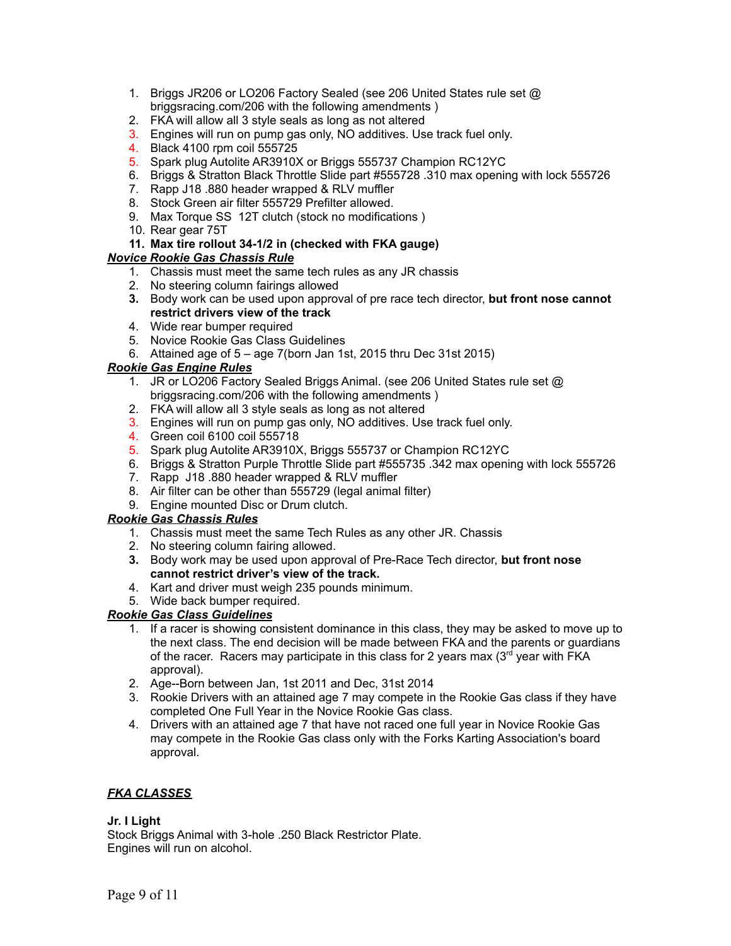- 1. Briggs JR206 or LO206 Factory Sealed (see 206 United States rule set @ briggsracing.com/206 with the following amendments )
- 2. FKA will allow all 3 style seals as long as not altered
- 3. Engines will run on pump gas only, NO additives. Use track fuel only.
- 4. Black 4100 rpm coil 555725
- 5. Spark plug Autolite AR3910X or Briggs 555737 Champion RC12YC
- 6. Briggs & Stratton Black Throttle Slide part #555728 .310 max opening with lock 555726
- 7. Rapp J18 .880 header wrapped & RLV muffler
- 8. Stock Green air filter 555729 Prefilter allowed.
- 9. Max Torque SS 12T clutch (stock no modifications )
- 10. Rear gear 75T

### **11. Max tire rollout 34-1/2 in (checked with FKA gauge)**

### *Novice Rookie Gas Chassis Rule*

- 1. Chassis must meet the same tech rules as any JR chassis
- 2. No steering column fairings allowed
- **3.** Body work can be used upon approval of pre race tech director, **but front nose cannot restrict drivers view of the track**
- 4. Wide rear bumper required
- 5. Novice Rookie Gas Class Guidelines
- 6. Attained age of 5 age 7(born Jan 1st, 2015 thru Dec 31st 2015)

### *Rookie Gas Engine Rules*

- 1. JR or LO206 Factory Sealed Briggs Animal. (see 206 United States rule set @ briggsracing.com/206 with the following amendments )
- 2. FKA will allow all 3 style seals as long as not altered
- 3. Engines will run on pump gas only, NO additives. Use track fuel only.
- 4. Green coil 6100 coil 555718
- 5. Spark plug Autolite AR3910X, Briggs 555737 or Champion RC12YC
- 6. Briggs & Stratton Purple Throttle Slide part #555735 .342 max opening with lock 555726
- 7. Rapp J18 .880 header wrapped & RLV muffler
- 8. Air filter can be other than 555729 (legal animal filter)
- 9. Engine mounted Disc or Drum clutch.

#### *Rookie Gas Chassis Rules*

- 1. Chassis must meet the same Tech Rules as any other JR. Chassis
- 2. No steering column fairing allowed.
- **3.** Body work may be used upon approval of Pre-Race Tech director, **but front nose cannot restrict driver's view of the track.**
- 4. Kart and driver must weigh 235 pounds minimum.
- 5. Wide back bumper required.

#### *Rookie Gas Class Guidelines*

- 1. If a racer is showing consistent dominance in this class, they may be asked to move up to the next class. The end decision will be made between FKA and the parents or guardians of the racer. Racers may participate in this class for 2 years max  $(3<sup>rd</sup>$  year with FKA approval).
- 2. Age--Born between Jan, 1st 2011 and Dec, 31st 2014
- 3. Rookie Drivers with an attained age 7 may compete in the Rookie Gas class if they have completed One Full Year in the Novice Rookie Gas class.
- 4. Drivers with an attained age 7 that have not raced one full year in Novice Rookie Gas may compete in the Rookie Gas class only with the Forks Karting Association's board approval.

# *FKA CLASSES*

#### **Jr. I Light**

Stock Briggs Animal with 3-hole .250 Black Restrictor Plate. Engines will run on alcohol.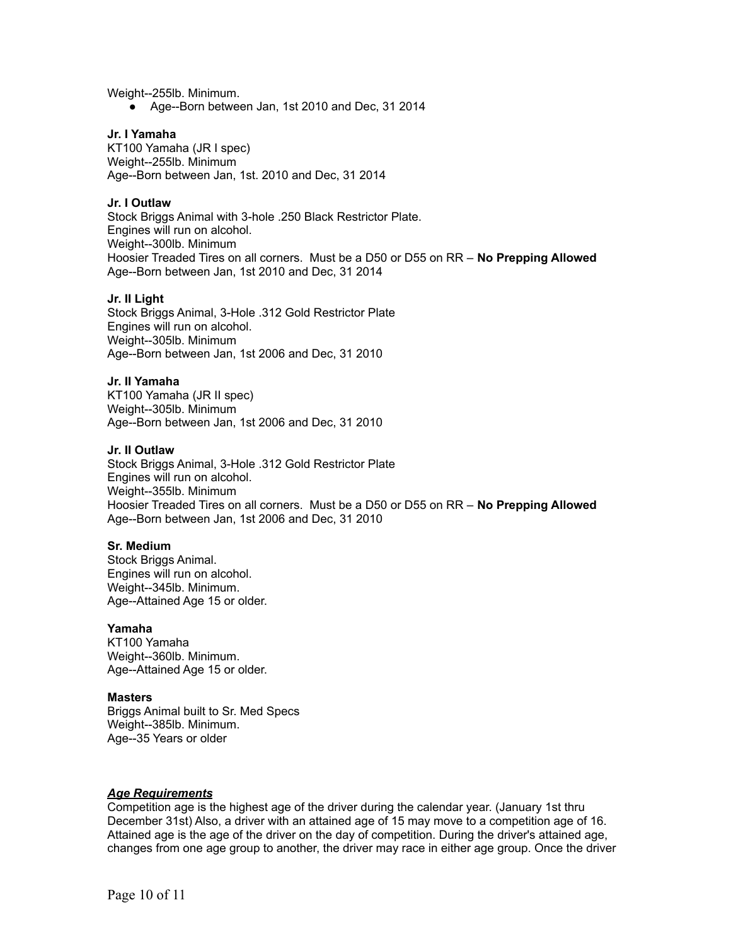Weight--255lb. Minimum.

● Age--Born between Jan, 1st 2010 and Dec, 31 2014

#### **Jr. I Yamaha**

KT100 Yamaha (JR I spec) Weight--255lb. Minimum Age--Born between Jan, 1st. 2010 and Dec, 31 2014

#### **Jr. I Outlaw**

Stock Briggs Animal with 3-hole .250 Black Restrictor Plate. Engines will run on alcohol. Weight--300lb. Minimum Hoosier Treaded Tires on all corners. Must be a D50 or D55 on RR – **No Prepping Allowed** Age--Born between Jan, 1st 2010 and Dec, 31 2014

#### **Jr. II Light**

Stock Briggs Animal, 3-Hole .312 Gold Restrictor Plate Engines will run on alcohol. Weight--305lb. Minimum Age--Born between Jan, 1st 2006 and Dec, 31 2010

#### **Jr. II Yamaha**

KT100 Yamaha (JR II spec) Weight--305lb. Minimum Age--Born between Jan, 1st 2006 and Dec, 31 2010

#### **Jr. II Outlaw**

Stock Briggs Animal, 3-Hole .312 Gold Restrictor Plate Engines will run on alcohol. Weight--355lb. Minimum Hoosier Treaded Tires on all corners. Must be a D50 or D55 on RR – **No Prepping Allowed** Age--Born between Jan, 1st 2006 and Dec, 31 2010

#### **Sr. Medium**

Stock Briggs Animal. Engines will run on alcohol. Weight--345lb. Minimum. Age--Attained Age 15 or older.

#### **Yamaha**

KT100 Yamaha Weight--360lb. Minimum. Age--Attained Age 15 or older.

#### **Masters**

Briggs Animal built to Sr. Med Specs Weight--385lb. Minimum. Age--35 Years or older

#### *Age Requirements*

Competition age is the highest age of the driver during the calendar year. (January 1st thru December 31st) Also, a driver with an attained age of 15 may move to a competition age of 16. Attained age is the age of the driver on the day of competition. During the driver's attained age, changes from one age group to another, the driver may race in either age group. Once the driver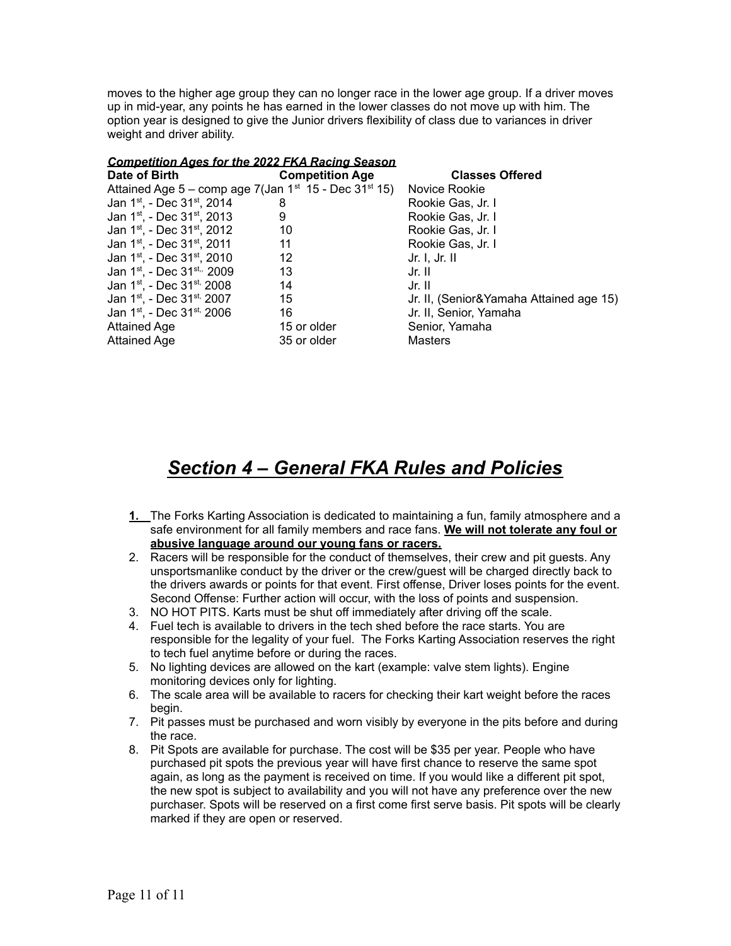moves to the higher age group they can no longer race in the lower age group. If a driver moves up in mid-year, any points he has earned in the lower classes do not move up with him. The option year is designed to give the Junior drivers flexibility of class due to variances in driver weight and driver ability.

| <b>Competition Ages for the 2022 FKA Racing Season</b>       |                        |                                         |
|--------------------------------------------------------------|------------------------|-----------------------------------------|
| Date of Birth                                                | <b>Competition Age</b> | <b>Classes Offered</b>                  |
| Attained Age $5 -$ comp age 7(Jan $1st$ 15 - Dec 31 $st$ 15) |                        | Novice Rookie                           |
| Jan 1 <sup>st</sup> , - Dec 31 <sup>st</sup> , 2014          | 8                      | Rookie Gas, Jr. I                       |
| Jan 1 <sup>st</sup> , - Dec 31 <sup>st</sup> , 2013          | 9                      | Rookie Gas, Jr. I                       |
| Jan 1 <sup>st</sup> , - Dec 31 <sup>st</sup> , 2012          | 10                     | Rookie Gas, Jr. I                       |
| Jan 1 <sup>st</sup> , - Dec 31 <sup>st</sup> , 2011          | 11                     | Rookie Gas, Jr. I                       |
| Jan 1 <sup>st</sup> , - Dec 31 <sup>st</sup> , 2010          | 12                     | Jr. I. Jr. II                           |
| Jan 1 <sup>st</sup> , - Dec 31 <sup>st,,</sup> 2009          | 13                     | Jr. II                                  |
| Jan 1 <sup>st</sup> , - Dec 31 <sup>st,</sup> 2008           | 14                     | Jr. II                                  |
| Jan 1 <sup>st</sup> , - Dec 31 <sup>st,</sup> 2007           | 15                     | Jr. II, (Senior&Yamaha Attained age 15) |
| Jan 1 <sup>st</sup> , - Dec 31 <sup>st,</sup> 2006           | 16                     | Jr. II, Senior, Yamaha                  |
| <b>Attained Age</b>                                          | 15 or older            | Senior, Yamaha                          |
| <b>Attained Age</b>                                          | 35 or older            | <b>Masters</b>                          |

# *Section 4 – General FKA Rules and Policies*

- **1.** The Forks Karting Association is dedicated to maintaining a fun, family atmosphere and a safe environment for all family members and race fans. **We will not tolerate any foul or abusive language around our young fans or racers.**
- 2. Racers will be responsible for the conduct of themselves, their crew and pit guests. Any unsportsmanlike conduct by the driver or the crew/guest will be charged directly back to the drivers awards or points for that event. First offense, Driver loses points for the event. Second Offense: Further action will occur, with the loss of points and suspension.
- 3. NO HOT PITS. Karts must be shut off immediately after driving off the scale.
- 4. Fuel tech is available to drivers in the tech shed before the race starts. You are responsible for the legality of your fuel. The Forks Karting Association reserves the right to tech fuel anytime before or during the races.
- 5. No lighting devices are allowed on the kart (example: valve stem lights). Engine monitoring devices only for lighting.
- 6. The scale area will be available to racers for checking their kart weight before the races begin.
- 7. Pit passes must be purchased and worn visibly by everyone in the pits before and during the race.
- 8. Pit Spots are available for purchase. The cost will be \$35 per year. People who have purchased pit spots the previous year will have first chance to reserve the same spot again, as long as the payment is received on time. If you would like a different pit spot, the new spot is subject to availability and you will not have any preference over the new purchaser. Spots will be reserved on a first come first serve basis. Pit spots will be clearly marked if they are open or reserved.